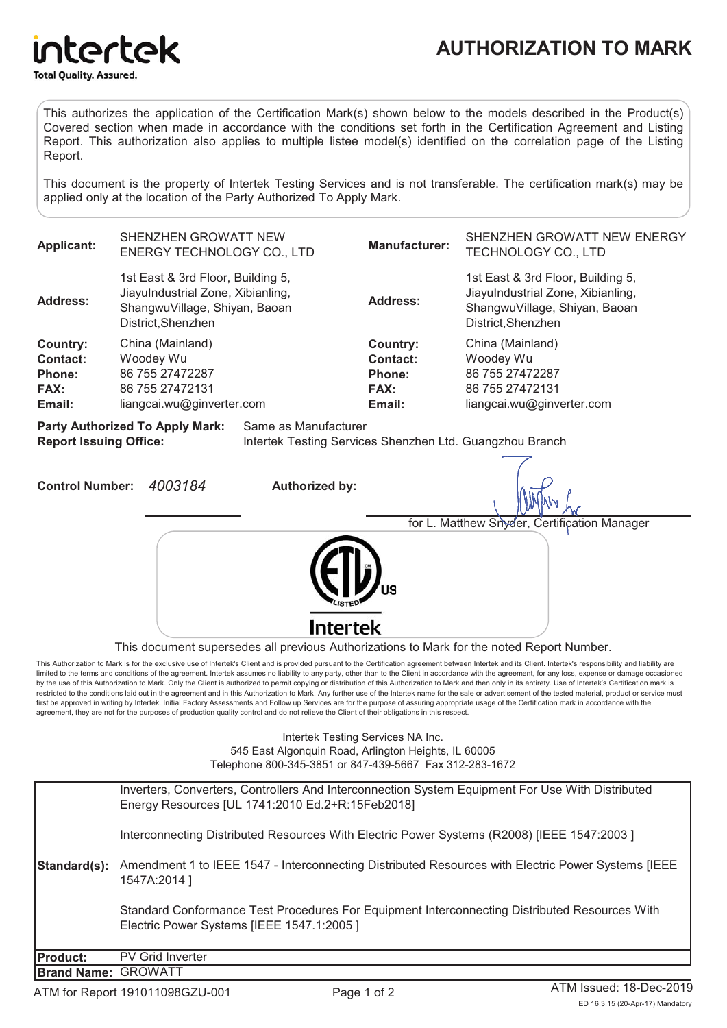

This authorizes the application of the Certification Mark(s) shown below to the models described in the Product(s) Covered section when made in accordance with the conditions set forth in the Certification Agreement and Listing Report. This authorization also applies to multiple listee model(s) identified on the correlation page of the Listing Report.

This document is the property of Intertek Testing Services and is not transferable. The certification mark(s) may be applied only at the location of the Party Authorized To Apply Mark.

| <b>Applicant:</b>                                                                                                                                           | SHENZHEN GROWATT NEW<br><b>ENERGY TECHNOLOGY CO., LTD</b>                                                                     |                                                                                                  |                       | <b>Manufacturer:</b>                                    | SHENZHEN GROWATT NEW ENERGY<br>TECHNOLOGY CO., LTD                                                                            |
|-------------------------------------------------------------------------------------------------------------------------------------------------------------|-------------------------------------------------------------------------------------------------------------------------------|--------------------------------------------------------------------------------------------------|-----------------------|---------------------------------------------------------|-------------------------------------------------------------------------------------------------------------------------------|
| <b>Address:</b>                                                                                                                                             | 1st East & 3rd Floor, Building 5,<br>JiayuIndustrial Zone, Xibianling,<br>ShangwuVillage, Shiyan, Baoan<br>District, Shenzhen |                                                                                                  |                       | <b>Address:</b>                                         | 1st East & 3rd Floor, Building 5,<br>JiayuIndustrial Zone, Xibianling,<br>ShangwuVillage, Shiyan, Baoan<br>District, Shenzhen |
| Country:<br>Contact:<br>Phone:<br>FAX:<br>Email:                                                                                                            |                                                                                                                               | China (Mainland)<br>Woodey Wu<br>86 755 27472287<br>86 755 27472131<br>liangcai.wu@ginverter.com |                       | <b>Country:</b><br>Contact:<br>Phone:<br>FAX:<br>Email: | China (Mainland)<br>Woodey Wu<br>86 755 27472287<br>86 755 27472131<br>liangcai.wu@ginverter.com                              |
| Same as Manufacturer<br><b>Party Authorized To Apply Mark:</b><br><b>Report Issuing Office:</b><br>Intertek Testing Services Shenzhen Ltd. Guangzhou Branch |                                                                                                                               |                                                                                                  |                       |                                                         |                                                                                                                               |
| <b>Control Number:</b>                                                                                                                                      |                                                                                                                               | 4003184                                                                                          | <b>Authorized by:</b> |                                                         |                                                                                                                               |
|                                                                                                                                                             |                                                                                                                               |                                                                                                  |                       |                                                         | for L. Matthew Snyder, Certification Manager                                                                                  |
|                                                                                                                                                             |                                                                                                                               |                                                                                                  | Intertek              |                                                         |                                                                                                                               |

This document supersedes all previous Authorizations to Mark for the noted Report Number.

This Authorization to Mark is for the exclusive use of Intertek's Client and is provided pursuant to the Certification agreement between Intertek and its Client. Intertek's responsibility and liability are limited to the terms and conditions of the agreement. Intertek assumes no liability to any party, other than to the Client in accordance with the agreement, for any loss, expense or damage occasioned by the use of this Authorization to Mark. Only the Client is authorized to permit copying or distribution of this Authorization to Mark and then only in its entirety. Use of Intertek's Certification mark is restricted to the conditions laid out in the agreement and in this Authorization to Mark. Any further use of the Intertek name for the sale or advertisement of the tested material, product or service must first be approved in writing by Intertek. Initial Factory Assessments and Follow up Services are for the purpose of assuring appropriate usage of the Certification mark in accordance with the agreement, they are not for the purposes of production quality control and do not relieve the Client of their obligations in this respect.

> Intertek Testing Services NA Inc. 545 East Algonquin Road, Arlington Heights, IL 60005 Telephone 800-345-3851 or 847-439-5667 Fax 312-283-1672

|                            | Inverters, Converters, Controllers And Interconnection System Equipment For Use With Distributed<br>Energy Resources [UL 1741:2010 Ed.2+R:15Feb2018] |
|----------------------------|------------------------------------------------------------------------------------------------------------------------------------------------------|
|                            | Interconnecting Distributed Resources With Electric Power Systems (R2008) [IEEE 1547:2003]                                                           |
| Standard(s):               | Amendment 1 to IEEE 1547 - Interconnecting Distributed Resources with Electric Power Systems [IEEE<br>1547A:2014]                                    |
|                            | Standard Conformance Test Procedures For Equipment Interconnecting Distributed Resources With<br>Electric Power Systems [IEEE 1547.1:2005]           |
| <b>Product:</b>            | <b>PV Grid Inverter</b>                                                                                                                              |
| <b>Brand Name: GROWATT</b> |                                                                                                                                                      |